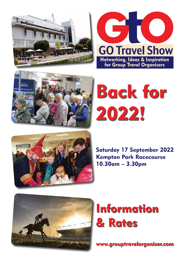





# Back for 2022!



Saturday 17 September 2022 Kempton Park Racecourse 10.30am – 3.30pm



# Information & Rates

www.grouptravelorganiser.com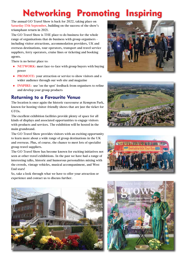# Networking Promoting Inspiring

The annual GO Travel Show is back for 2022, taking place on **Saturday 17th September**, building on the success of the show's triumphant return in 2021.

The GO Travel Show is THE place to do business for the whole range of organisations that do business with group organisers including visitor attractions, accommodation providers, UK and overseas destinations, tour operators, transport and travel service suppliers, ferry operators, cruise lines or ticketing and booking agents.

There is no better place to:

- NETWORK: meet face-to-face with group buyers with buying power
- PROMOTE: your attraction or service to show visitors and a wider audience through our web site and magazine
- **INSPIRE:** use 'on the spot' feedback from organisers to refine and develop your group products

# Returning to a Favourite Venue

The location is once again the historic racecourse at Kempton Park, known for hosting visitor-friendly shows that are just the ticket for GTOs.

The excellent exhibition facilities provide plenty of space for all kinds of displays and associated opportunities to engage visitors with products and services. The exhibition will be hosted in the main grandstand.

The GO Travel Show provides visitors with an exciting opportunity to learn more about a wide range of group destinations in the UK and overseas. Plus, of course, the chance to meet lots of specialist group travel suppliers.

The GO Travel Show has become known for exciting initiatives not seen at other travel exhibitions. In the past we have had a range of interesting talks, historic and humorous personalities mixing with the crowds, vintage vehicles, musical accompaniment, and West End stars!

So, take a look through what we have to offer your attraction or experience and contact us to discuss further.